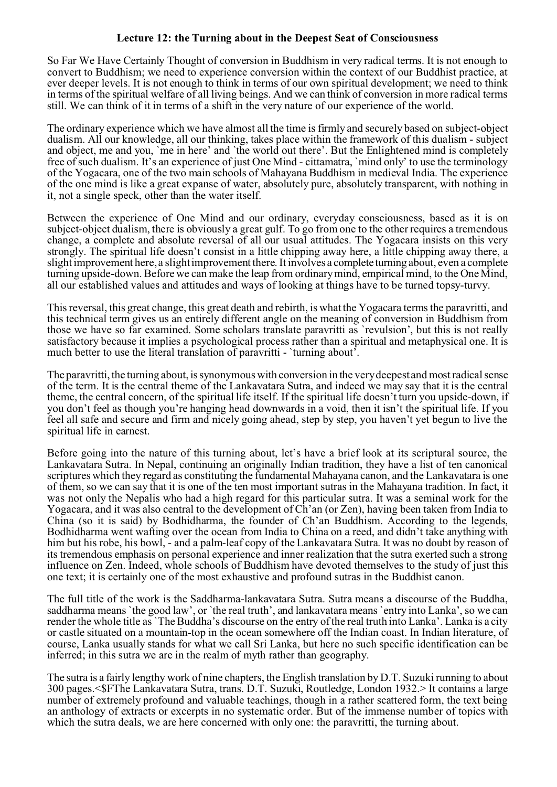## **Lecture 12: the Turning about in the Deepest Seat of Consciousness**

So Far We Have Certainly Thought of conversion in Buddhism in very radical terms. It is not enough to convert to Buddhism; we need to experience conversion within the context of our Buddhist practice, at ever deeper levels. It is not enough to think in terms of our own spiritual development; we need to think in terms of the spiritual welfare of all living beings. And we can think of conversion in more radical terms still. We can think of it in terms of a shift in the very nature of our experience of the world.

The ordinary experience which we have almost all the time is firmly and securely based on subject-object dualism. All our knowledge, all our thinking, takes place within the framework of this dualism - subject and object, me and you, `me in here' and `the world out there'. But the Enlightened mind is completely free of such dualism. It's an experience of just One Mind - cittamatra, `mind only' to use the terminology of the Yogacara, one of the two main schools of Mahayana Buddhism in medieval India. The experience of the one mind is like a great expanse of water, absolutely pure, absolutely transparent, with nothing in it, not a single speck, other than the water itself.

Between the experience of One Mind and our ordinary, everyday consciousness, based as it is on subject-object dualism, there is obviously a great gulf. To go from one to the other requires a tremendous change, a complete and absolute reversal of all our usual attitudes. The Yogacara insists on this very strongly. The spiritual life doesn't consist in a little chipping away here, a little chipping away there, a slight improvement here, a slight improvement there. It involves a complete turning about, even a complete turning upside-down. Before we can make the leap from ordinary mind, empirical mind, to the One Mind, all our established values and attitudes and ways of looking at things have to be turned topsy-turvy.

This reversal, this great change, this great death and rebirth, is what the Yogacara terms the paravritti, and this technical term gives us an entirely different angle on the meaning of conversion in Buddhism from those we have so far examined. Some scholars translate paravritti as `revulsion', but this is not really satisfactory because it implies a psychological process rather than a spiritual and metaphysical one. It is much better to use the literal translation of paravritti - 'turning about'.

The paravritti, the turning about, is synonymous with conversion in the very deepest and most radical sense of the term. It is the central theme of the Lankavatara Sutra, and indeed we may say that it is the central theme, the central concern, of the spiritual life itself. If the spiritual life doesn't turn you upside-down, if you don't feel as though you're hanging head downwards in a void, then it isn't the spiritual life. If you feel all safe and secure and firm and nicely going ahead, step by step, you haven't yet begun to live the spiritual life in earnest.

Before going into the nature of this turning about, let's have a brief look at its scriptural source, the Lankavatara Sutra. In Nepal, continuing an originally Indian tradition, they have a list of ten canonical scriptures which they regard as constituting the fundamental Mahayana canon, and the Lankavatara is one of them, so we can say that it is one of the ten most important sutras in the Mahayana tradition. In fact, it was not only the Nepalis who had a high regard for this particular sutra. It was a seminal work for the Yogacara, and it was also central to the development of Ch'an (or Zen), having been taken from India to China (so it is said) by Bodhidharma, the founder of Ch'an Buddhism. According to the legends, Bodhidharma went wafting over the ocean from India to China on a reed, and didn't take anything with him but his robe, his bowl, - and a palm-leaf copy of the Lankavatara Sutra. It was no doubt by reason of its tremendous emphasis on personal experience and inner realization that the sutra exerted such a strong influence on Zen. Indeed, whole schools of Buddhism have devoted themselves to the study of just this one text; it is certainly one of the most exhaustive and profound sutras in the Buddhist canon.

The full title of the work is the Saddharma-lankavatara Sutra. Sutra means a discourse of the Buddha, saddharma means `the good law', or `the real truth', and lankavatara means `entry into Lanka', so we can render the whole title as `The Buddha's discourse on the entry of the real truth into Lanka'. Lanka is a city or castle situated on a mountain-top in the ocean somewhere off the Indian coast. In Indian literature, of course, Lanka usually stands for what we call Sri Lanka, but here no such specific identification can be inferred; in this sutra we are in the realm of myth rather than geography.

The sutra is a fairly lengthy work of nine chapters, the English translation by D.T. Suzuki running to about 300 pages.<\$FThe Lankavatara Sutra, trans. D.T. Suzuki, Routledge, London 1932.> It contains a large number of extremely profound and valuable teachings, though in a rather scattered form, the text being an anthology of extracts or excerpts in no systematic order. But of the immense number of topics with which the sutra deals, we are here concerned with only one: the paravritti, the turning about.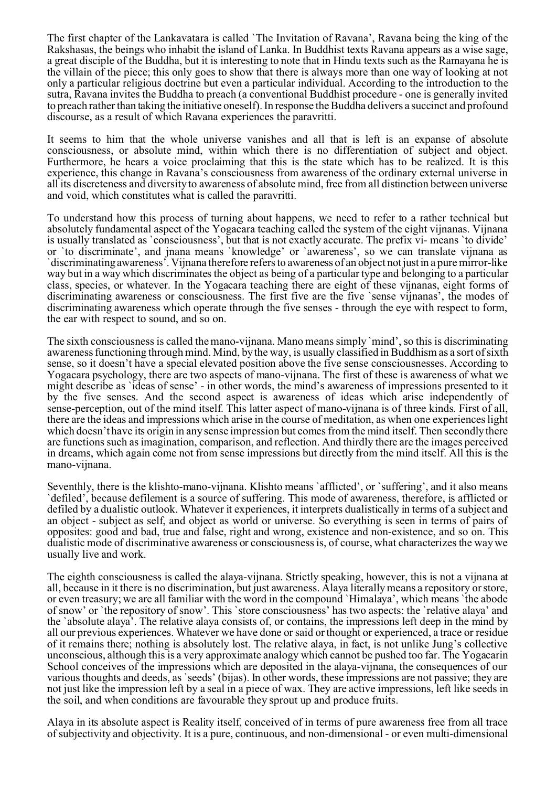The first chapter of the Lankavatara is called `The Invitation of Ravana', Ravana being the king of the Rakshasas, the beings who inhabit the island of Lanka. In Buddhist texts Ravana appears as a wise sage, a great disciple of the Buddha, but it is interesting to note that in Hindu texts such as the Ramayana he is the villain of the piece; this only goes to show that there is always more than one way of looking at not only a particular religious doctrine but even a particular individual. According to the introduction to the sutra, Ravana invites the Buddha to preach (a conventional Buddhist procedure - one is generally invited to preach rather than taking the initiative oneself). In response the Buddha delivers a succinct and profound discourse, as a result of which Ravana experiences the paravritti.

It seems to him that the whole universe vanishes and all that is left is an expanse of absolute consciousness, or absolute mind, within which there is no differentiation of subject and object. Furthermore, he hears a voice proclaiming that this is the state which has to be realized. It is this experience, this change in Ravana's consciousness from awareness of the ordinary external universe in all its discreteness and diversity to awareness of absolute mind, free from all distinction between universe and void, which constitutes what is called the paravritti.

To understand how this process of turning about happens, we need to refer to a rather technical but absolutely fundamental aspect of the Yogacara teaching called the system of the eight vijnanas. Vijnana is usually translated as `consciousness', but that is not exactly accurate. The prefix vi- means `to divide' or `to discriminate', and jnana means `knowledge' or `awareness', so we can translate vijnana as `discriminating awareness'. Vijnana therefore refers to awareness of an object notjustin a pure mirror-like way but in a way which discriminates the object as being of a particular type and belonging to a particular class, species, or whatever. In the Yogacara teaching there are eight of these vijnanas, eight forms of discriminating awareness or consciousness. The first five are the five `sense vijnanas', the modes of discriminating awareness which operate through the five senses - through the eye with respect to form, the ear with respect to sound, and so on.

The sixth consciousness is called the mano-vijnana. Mano means simply `mind', so this is discriminating awareness functioning through mind. Mind, by the way, is usually classified in Buddhism as a sort of sixth sense, so it doesn't have a special elevated position above the five sense consciousnesses. According to Yogacara psychology, there are two aspects of mano-vijnana. The first of these is awareness of what we might describe as `ideas of sense' - in other words, the mind's awareness of impressions presented to it by the five senses. And the second aspect is awareness of ideas which arise independently of sense-perception, out of the mind itself. This latter aspect of mano-vijnana is of three kinds. First of all, there are the ideas and impressions which arise in the course of meditation, as when one experiences light which doesn't have its origin in any sense impression but comes from the mind itself. Then secondly there are functions such as imagination, comparison, and reflection. And thirdly there are the images perceived in dreams, which again come not from sense impressions but directly from the mind itself. All this is the mano-vijnana.

Seventhly, there is the klishto-mano-vijnana. Klishto means `afflicted', or `suffering', and it also means `defiled', because defilement is a source of suffering. This mode of awareness, therefore, is afflicted or defiled by a dualistic outlook. Whatever it experiences, it interprets dualistically in terms of a subject and an object - subject as self, and object as world or universe. So everything is seen in terms of pairs of opposites: good and bad, true and false, right and wrong, existence and non-existence, and so on. This dualistic mode of discriminative awareness or consciousness is, of course, what characterizes the way we usually live and work.

The eighth consciousness is called the alaya-vijnana. Strictly speaking, however, this is not a vijnana at all, because in it there is no discrimination, but just awareness. Alaya literally means a repository or store, or even treasury; we are all familiar with the word in the compound `Himalaya', which means `the abode of snow' or `the repository of snow'. This `store consciousness' has two aspects: the `relative alaya' and the `absolute alaya'. The relative alaya consists of, or contains, the impressions left deep in the mind by all our previous experiences. Whatever we have done or said or thought or experienced, a trace or residue of it remains there; nothing is absolutely lost. The relative alaya, in fact, is not unlike Jung's collective unconscious, although this is a very approximate analogy which cannot be pushed too far. The Yogacarin School conceives of the impressions which are deposited in the alaya-vijnana, the consequences of our various thoughts and deeds, as `seeds' (bijas). In other words, these impressions are not passive; they are not just like the impression left by a seal in a piece of wax. They are active impressions, left like seeds in the soil, and when conditions are favourable they sprout up and produce fruits.

Alaya in its absolute aspect is Reality itself, conceived of in terms of pure awareness free from all trace of subjectivity and objectivity. It is a pure, continuous, and non-dimensional - or even multi-dimensional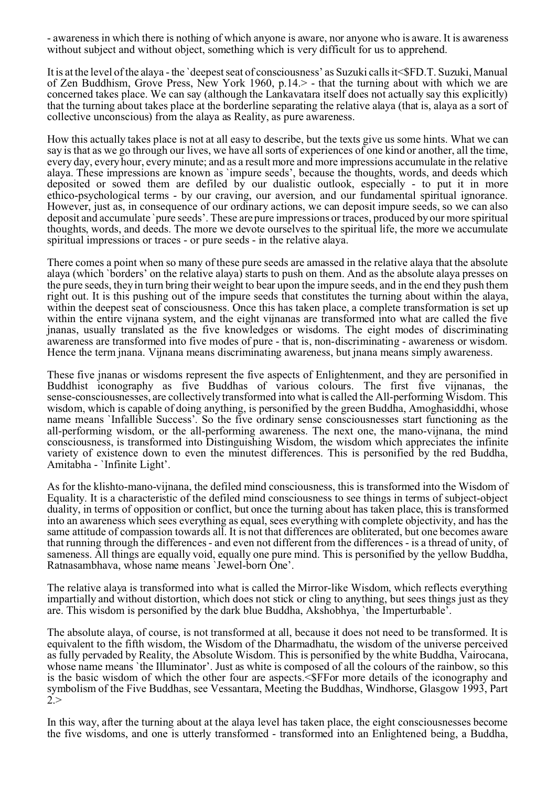- awareness in which there is nothing of which anyone is aware, nor anyone who is aware. It is awareness without subject and without object, something which is very difficult for us to apprehend.

It is at the level of the alaya - the `deepest seat of consciousness' as Suzuki calls it <\$FD.T. Suzuki, Manual of Zen Buddhism, Grove Press, New York 1960, p.14.> - that the turning about with which we are concerned takes place. We can say (although the Lankavatara itself does not actually say this explicitly) that the turning about takes place at the borderline separating the relative alaya (that is, alaya as a sort of collective unconscious) from the alaya as Reality, as pure awareness.

How this actually takes place is not at all easy to describe, but the texts give us some hints. What we can say is that as we go through our lives, we have all sorts of experiences of one kind or another, all the time, every day, every hour, every minute; and as a result more and more impressions accumulate in the relative alaya. These impressions are known as `impure seeds', because the thoughts, words, and deeds which deposited or sowed them are defiled by our dualistic outlook, especially - to put it in more ethico-psychological terms - by our craving, our aversion, and our fundamental spiritual ignorance. However, just as, in consequence of our ordinary actions, we can deposit impure seeds, so we can also deposit and accumulate `pure seeds'. These are pure impressions or traces, produced by our more spiritual thoughts, words, and deeds. The more we devote ourselves to the spiritual life, the more we accumulate spiritual impressions or traces - or pure seeds - in the relative alaya.

There comes a point when so many of these pure seeds are amassed in the relative alaya that the absolute alaya (which `borders' on the relative alaya) starts to push on them. And as the absolute alaya presses on the pure seeds, they in turn bring their weight to bear upon the impure seeds, and in the end they push them right out. It is this pushing out of the impure seeds that constitutes the turning about within the alaya, within the deepest seat of consciousness. Once this has taken place, a complete transformation is set up within the entire vijnana system, and the eight vijnanas are transformed into what are called the five jnanas, usually translated as the five knowledges or wisdoms. The eight modes of discriminating awareness are transformed into five modes of pure - that is, non-discriminating - awareness or wisdom. Hence the term jnana. Vijnana means discriminating awareness, but jnana means simply awareness.

These five jnanas or wisdoms represent the five aspects of Enlightenment, and they are personified in Buddhist iconography as five Buddhas of various colours. The first five vijnanas, the sense-consciousnesses, are collectively transformed into what is called the All-performing Wisdom. This wisdom, which is capable of doing anything, is personified by the green Buddha, Amoghasiddhi, whose name means `Infallible Success'. So the five ordinary sense consciousnesses start functioning as the all-performing wisdom, or the all-performing awareness. The next one, the mano-vijnana, the mind consciousness, is transformed into Distinguishing Wisdom, the wisdom which appreciates the infinite variety of existence down to even the minutest differences. This is personified by the red Buddha, Amitabha - `Infinite Light'.

As for the klishto-mano-vijnana, the defiled mind consciousness, this is transformed into the Wisdom of Equality. It is a characteristic of the defiled mind consciousness to see things in terms of subject-object duality, in terms of opposition or conflict, but once the turning about has taken place, this is transformed into an awareness which sees everything as equal, sees everything with complete objectivity, and has the same attitude of compassion towards all. It is not that differences are obliterated, but one becomes aware that running through the differences - and even not different from the differences - is a thread of unity, of sameness. All things are equally void, equally one pure mind. This is personified by the yellow Buddha, Ratnasambhava, whose name means `Jewel-born One'.

The relative alaya is transformed into what is called the Mirror-like Wisdom, which reflects everything impartially and without distortion, which does not stick or cling to anything, but sees things just as they are. This wisdom is personified by the dark blue Buddha, Akshobhya, `the Imperturbable'.

The absolute alaya, of course, is not transformed at all, because it does not need to be transformed. It is equivalent to the fifth wisdom, the Wisdom of the Dharmadhatu, the wisdom of the universe perceived as fully pervaded by Reality, the Absolute Wisdom. This is personified by the white Buddha, Vairocana, whose name means `the Illuminator'. Just as white is composed of all the colours of the rainbow, so this is the basic wisdom of which the other four are aspects.  $S$ FFor more details of the iconography and symbolism of the Five Buddhas, see Vessantara, Meeting the Buddhas, Windhorse, Glasgow 1993, Part  $2.>$ 

In this way, after the turning about at the alaya level has taken place, the eight consciousnesses become the five wisdoms, and one is utterly transformed - transformed into an Enlightened being, a Buddha,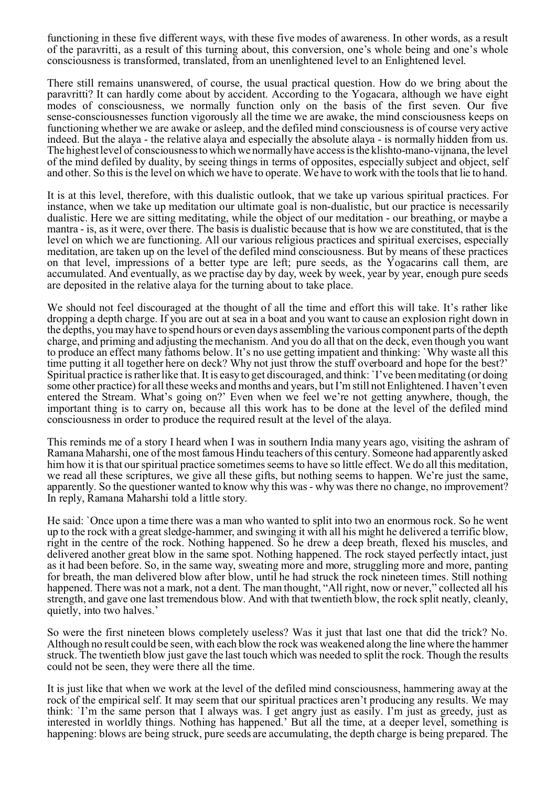functioning in these five different ways, with these five modes of awareness. In other words, as a result of the paravritti, as a result of this turning about, this conversion, one's whole being and one's whole consciousness is transformed, translated, from an unenlightened level to an Enlightened level.

There still remains unanswered, of course, the usual practical question. How do we bring about the paravritti? It can hardly come about by accident. According to the Yogacara, although we have eight modes of consciousness, we normally function only on the basis of the first seven. Our five sense-consciousnesses function vigorously all the time we are awake, the mind consciousness keeps on functioning whether we are awake or asleep, and the defiled mind consciousness is of course very active indeed. But the alaya - the relative alaya and especially the absolute alaya - is normally hidden from us. The highest level of consciousnesstowhichwe normally have access is the klishto-mano-vijnana, the level of the mind defiled by duality, by seeing things in terms of opposites, especially subject and object, self and other. So this is the level on which we have to operate. We have to work with the tools that lie to hand.

It is at this level, therefore, with this dualistic outlook, that we take up various spiritual practices. For instance, when we take up meditation our ultimate goal is non-dualistic, but our practice is necessarily dualistic. Here we are sitting meditating, while the object of our meditation - our breathing, or maybe a mantra - is, as it were, over there. The basis is dualistic because that is how we are constituted, that is the level on which we are functioning. All our various religious practices and spiritual exercises, especially meditation, are taken up on the level of the defiled mind consciousness. But by means of these practices on that level, impressions of a better type are left; pure seeds, as the Yogacarins call them, are accumulated. And eventually, as we practise day by day, week by week, year by year, enough pure seeds are deposited in the relative alaya for the turning about to take place.

We should not feel discouraged at the thought of all the time and effort this will take. It's rather like dropping a depth charge. If you are out at sea in a boat and you want to cause an explosion right down in the depths, you may have to spend hours or even days assembling the various component parts of the depth charge, and priming and adjusting the mechanism. And you do all that on the deck, even though you want to produce an effect many fathoms below. It's no use getting impatient and thinking: `Why waste all this time putting it all together here on deck? Why not just throw the stuff overboard and hope for the best?' Spiritual practice is rather like that. It is easy to get discouraged, and think: `I've been meditating (or doing some other practice) for all these weeks and months and years, but I'm still not Enlightened. I haven't even entered the Stream. What's going on?' Even when we feel we're not getting anywhere, though, the important thing is to carry on, because all this work has to be done at the level of the defiled mind consciousness in order to produce the required result at the level of the alaya.

This reminds me of a story I heard when I was in southern India many years ago, visiting the ashram of Ramana Maharshi, one of the most famous Hindu teachers of this century. Someone had apparently asked him how it is that our spiritual practice sometimes seems to have so little effect. We do all this meditation, we read all these scriptures, we give all these gifts, but nothing seems to happen. We're just the same, apparently. So the questioner wanted to know why this was - why was there no change, no improvement? In reply, Ramana Maharshi told a little story.

He said: `Once upon a time there was a man who wanted to split into two an enormous rock. So he went up to the rock with a great sledge-hammer, and swinging it with all his might he delivered a terrific blow, right in the centre of the rock. Nothing happened. So he drew a deep breath, flexed his muscles, and delivered another great blow in the same spot. Nothing happened. The rock stayed perfectly intact, just as it had been before. So, in the same way, sweating more and more, struggling more and more, panting for breath, the man delivered blow after blow, until he had struck the rock nineteen times. Still nothing happened. There was not a mark, not a dent. The man thought, "All right, now or never," collected all his strength, and gave one last tremendous blow. And with that twentieth blow, the rock split neatly, cleanly, quietly, into two halves.'

So were the first nineteen blows completely useless? Was it just that last one that did the trick? No. Although no result could be seen, with each blow the rock was weakened along the line where the hammer struck. The twentieth blow just gave the last touch which was needed to split the rock. Though the results could not be seen, they were there all the time.

It is just like that when we work at the level of the defiled mind consciousness, hammering away at the rock of the empirical self. It may seem that our spiritual practices aren't producing any results. We may think: `I'm the same person that I always was. I get angry just as easily. I'm just as greedy, just as interested in worldly things. Nothing has happened.' But all the time, at a deeper level, something is happening: blows are being struck, pure seeds are accumulating, the depth charge is being prepared. The